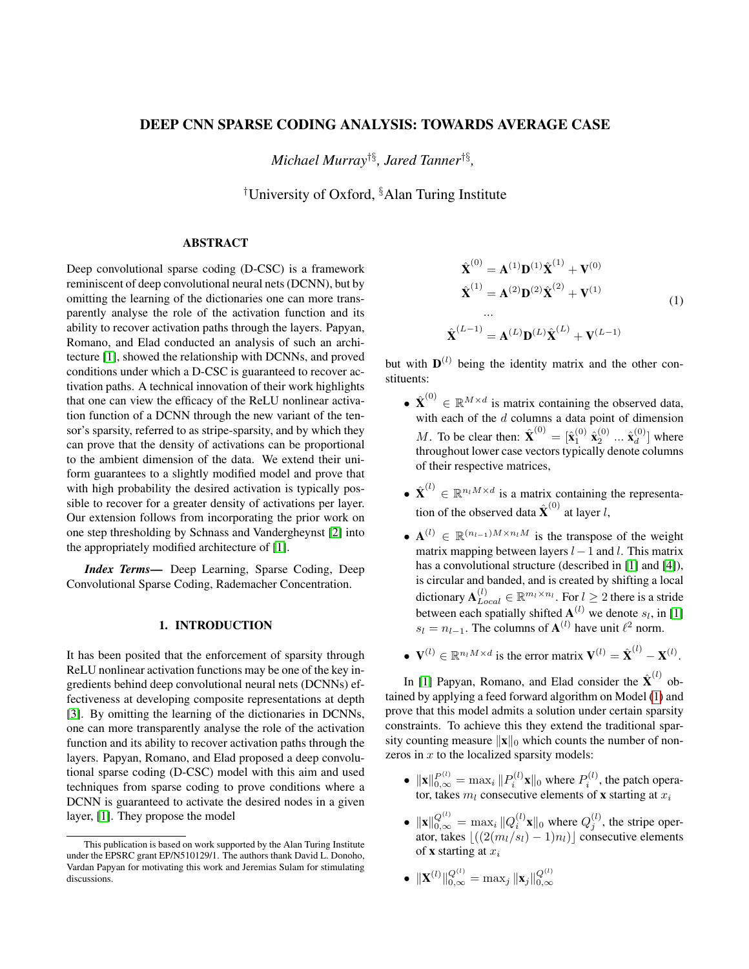# DEEP CNN SPARSE CODING ANALYSIS: TOWARDS AVERAGE CASE

*Michael Murray*†§*, Jared Tanner*†§ *,*

†University of Oxford, §Alan Turing Institute

## ABSTRACT

Deep convolutional sparse coding (D-CSC) is a framework reminiscent of deep convolutional neural nets (DCNN), but by omitting the learning of the dictionaries one can more transparently analyse the role of the activation function and its ability to recover activation paths through the layers. Papyan, Romano, and Elad conducted an analysis of such an architecture [\[1\]](#page-4-0), showed the relationship with DCNNs, and proved conditions under which a D-CSC is guaranteed to recover activation paths. A technical innovation of their work highlights that one can view the efficacy of the ReLU nonlinear activation function of a DCNN through the new variant of the tensor's sparsity, referred to as stripe-sparsity, and by which they can prove that the density of activations can be proportional to the ambient dimension of the data. We extend their uniform guarantees to a slightly modified model and prove that with high probability the desired activation is typically possible to recover for a greater density of activations per layer. Our extension follows from incorporating the prior work on one step thresholding by Schnass and Vandergheynst [\[2\]](#page-4-1) into the appropriately modified architecture of [\[1\]](#page-4-0).

*Index Terms*— Deep Learning, Sparse Coding, Deep Convolutional Sparse Coding, Rademacher Concentration.

## 1. INTRODUCTION

It has been posited that the enforcement of sparsity through ReLU nonlinear activation functions may be one of the key ingredients behind deep convolutional neural nets (DCNNs) effectiveness at developing composite representations at depth [\[3\]](#page-4-2). By omitting the learning of the dictionaries in DCNNs, one can more transparently analyse the role of the activation function and its ability to recover activation paths through the layers. Papyan, Romano, and Elad proposed a deep convolutional sparse coding (D-CSC) model with this aim and used techniques from sparse coding to prove conditions where a DCNN is guaranteed to activate the desired nodes in a given layer, [\[1\]](#page-4-0). They propose the model

$$
\hat{\mathbf{X}}^{(0)} = \mathbf{A}^{(1)} \mathbf{D}^{(1)} \hat{\mathbf{X}}^{(1)} + \mathbf{V}^{(0)}
$$
\n
$$
\hat{\mathbf{X}}^{(1)} = \mathbf{A}^{(2)} \mathbf{D}^{(2)} \hat{\mathbf{X}}^{(2)} + \mathbf{V}^{(1)}
$$
\n...\n
$$
\hat{\mathbf{X}}^{(L-1)} = \mathbf{A}^{(L)} \mathbf{D}^{(L)} \hat{\mathbf{X}}^{(L)} + \mathbf{V}^{(L-1)}
$$
\n(1)

<span id="page-0-0"></span>but with  $\mathbf{D}^{(l)}$  being the identity matrix and the other constituents:

- $\hat{\mathbf{X}}^{(0)} \in \mathbb{R}^{M \times d}$  is matrix containing the observed data, with each of the  $d$  columns a data point of dimension *M*. To be clear then:  $\hat{\mathbf{X}}^{(0)} = [\hat{\mathbf{x}}_1^{(0)} \ \hat{\mathbf{x}}_2^{(0)} \ ... \ \hat{\mathbf{x}}_d^{(0)}]$  $\binom{0}{d}$  where throughout lower case vectors typically denote columns of their respective matrices,
- $\hat{\mathbf{X}}^{(l)} \in \mathbb{R}^{n_l M \times d}$  is a matrix containing the representation of the observed data  $\hat{\textbf{X}}^{(0)}$  at layer *l*,
- $A^{(l)} \in \mathbb{R}^{(n_{l-1})M \times n_lM}$  is the transpose of the weight matrix mapping between layers  $l-1$  and l. This matrix has a convolutional structure (described in [\[1\]](#page-4-0) and [\[4\]](#page-4-3)), is circular and banded, and is created by shifting a local dictionary  $\mathbf{A}_{Local}^{(l)} \in \mathbb{R}^{m_l \times n_l}$ . For  $l \geq 2$  there is a stride between each spatially shifted  $\mathbf{A}^{(l)}$  we denote  $s_l$ , in [\[1\]](#page-4-0)  $s_l = n_{l-1}$ . The columns of  $\mathbf{A}^{(l)}$  have unit  $\ell^2$  norm.
- $V^{(l)} \in \mathbb{R}^{n_l M \times d}$  is the error matrix  $V^{(l)} = \hat{\mathbf{X}}^{(l)} \mathbf{X}^{(l)}$ .

In [\[1\]](#page-4-0) Papyan, Romano, and Elad consider the  $\hat{\textbf{X}}^{(l)}$  obtained by applying a feed forward algorithm on Model [\(1\)](#page-0-0) and prove that this model admits a solution under certain sparsity constraints. To achieve this they extend the traditional sparsity counting measure  $\|\mathbf{x}\|_0$  which counts the number of nonzeros in  $x$  to the localized sparsity models:

- $\|\mathbf{x}\|_{0,\infty}^{P^{(l)}} = \max_i \|P_i^{(l)}\mathbf{x}\|_0$  where  $P_i^{(l)}$ , the patch operator, takes  $m_l$  consecutive elements of **x** starting at  $x_i$
- $\|\mathbf{x}\|_{0,\infty}^{Q^{(l)}} = \max_i \|Q_i^{(l)}\mathbf{x}\|_0$  where  $Q_j^{(l)}$ , the stripe operator, takes  $\lfloor ((2(m_l/s_l) - 1)n_l)\rfloor$  consecutive elements of **x** starting at  $x_i$

• 
$$
\|\mathbf{X}^{(l)}\|_{0,\infty}^{Q^{(l)}} = \max_j \|\mathbf{x}_j\|_{0,\infty}^{Q^{(l)}}
$$

This publication is based on work supported by the Alan Turing Institute under the EPSRC grant EP/N510129/1. The authors thank David L. Donoho, Vardan Papyan for motivating this work and Jeremias Sulam for stimulating discussions.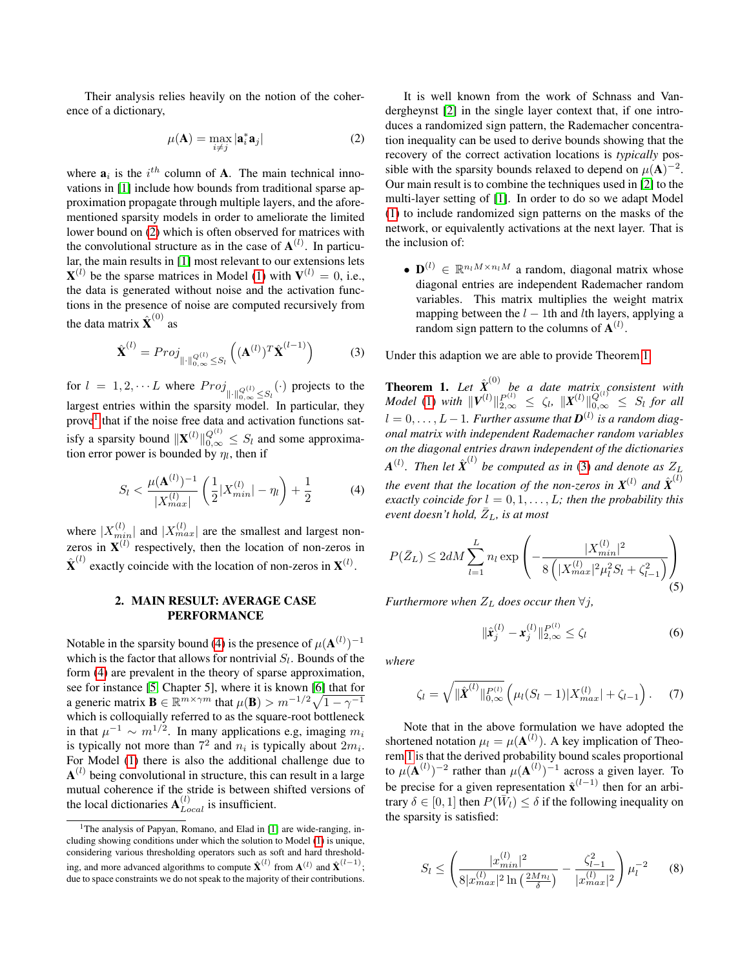Their analysis relies heavily on the notion of the coherence of a dictionary,

<span id="page-1-0"></span>
$$
\mu(\mathbf{A}) = \max_{i \neq j} |\mathbf{a}_i^* \mathbf{a}_j| \tag{2}
$$

where  $\mathbf{a}_i$  is the  $i^{th}$  column of **A**. The main technical innovations in [\[1\]](#page-4-0) include how bounds from traditional sparse approximation propagate through multiple layers, and the aforementioned sparsity models in order to ameliorate the limited lower bound on [\(2\)](#page-1-0) which is often observed for matrices with the convolutional structure as in the case of  $A^{(l)}$ . In particular, the main results in [\[1\]](#page-4-0) most relevant to our extensions lets  $X^{(l)}$  be the sparse matrices in Model [\(1\)](#page-0-0) with  $V^{(l)} = 0$ , i.e., the data is generated without noise and the activation functions in the presence of noise are computed recursively from the data matrix  $\hat{\textbf{X}}^{(0)}$  as

<span id="page-1-4"></span>
$$
\hat{\mathbf{X}}^{(l)} = Proj_{\|\cdot\|_{0,\infty}^{Q(l)} \leq S_l} \left( (\mathbf{A}^{(l)})^T \hat{\mathbf{X}}^{(l-1)} \right) \tag{3}
$$

for  $l = 1, 2, \cdots L$  where  $Proj_{\|\cdot\|_{0,\infty}^{Q^{(l)}} \leq S_l}(\cdot)$  projects to the largest entries within the sparsity model. In particular, they prove<sup>[1](#page-1-1)</sup> that if the noise free data and activation functions satisfy a sparsity bound  $\|\mathbf{X}^{(l)}\|_{0,\infty}^{Q^{(l)}} \leq S_l$  and some approximation error power is bounded by  $\eta_l$ , then if

<span id="page-1-2"></span>
$$
S_l < \frac{\mu(\mathbf{A}^{(l)})^{-1}}{|X_{max}^{(l)}|} \left(\frac{1}{2}|X_{min}^{(l)}| - \eta_l\right) + \frac{1}{2} \tag{4}
$$

where  $|X_{min}^{(l)}|$  and  $|X_{max}^{(l)}|$  are the smallest and largest nonzeros in  $X^{(l)}$  respectively, then the location of non-zeros in  $\hat{\mathbf{X}}^{(l)}$  exactly coincide with the location of non-zeros in  $\mathbf{X}^{(l)}$ .

### 2. MAIN RESULT: AVERAGE CASE PERFORMANCE

Notable in the sparsity bound [\(4\)](#page-1-2) is the presence of  $\mu(\mathbf{A}^{(l)})^{-1}$ which is the factor that allows for nontrivial  $S_l$ . Bounds of the form [\(4\)](#page-1-2) are prevalent in the theory of sparse approximation, see for instance [\[5,](#page-4-4) Chapter 5], where it is known [\[6\]](#page-4-5) that for a generic matrix  $\mathbf{B} \in \mathbb{R}^{m \times \gamma m}$  that  $\mu(\mathbf{B}) > m^{-1/2} \sqrt{1 - \gamma^{-1}}$ which is colloquially referred to as the square-root bottleneck in that  $\mu^{-1} \sim m^{1/2}$ . In many applications e.g, imaging  $m_i$ is typically not more than  $7^2$  and  $n_i$  is typically about  $2m_i$ . For Model [\(1\)](#page-0-0) there is also the additional challenge due to  ${\bf A}^{(l)}$  being convolutional in structure, this can result in a large mutual coherence if the stride is between shifted versions of the local dictionaries  $A_{Local}^{(l)}$  is insufficient.

It is well known from the work of Schnass and Vandergheynst [\[2\]](#page-4-1) in the single layer context that, if one introduces a randomized sign pattern, the Rademacher concentration inequality can be used to derive bounds showing that the recovery of the correct activation locations is *typically* possible with the sparsity bounds relaxed to depend on  $\mu(A)^{-2}$ . Our main result is to combine the techniques used in [\[2\]](#page-4-1) to the multi-layer setting of [\[1\]](#page-4-0). In order to do so we adapt Model [\(1\)](#page-0-0) to include randomized sign patterns on the masks of the network, or equivalently activations at the next layer. That is the inclusion of:

•  $\mathbf{D}^{(l)} \in \mathbb{R}^{n_l M \times n_l M}$  a random, diagonal matrix whose diagonal entries are independent Rademacher random variables. This matrix multiplies the weight matrix mapping between the  $l - 1$ th and lth layers, applying a random sign pattern to the columns of  $\mathbf{A}^{(l)}$ .

Under this adaption we are able to provide Theorem [1.](#page-1-3)

<span id="page-1-3"></span>**Theorem 1.** Let  $\hat{\boldsymbol{X}}^{(0)}$  be a date matrix consistent with *Model* [\(1\)](#page-0-0) *with*  $||V^{(l)}||_{2,\infty}^{P^{(l)}} \le \zeta_l$ ,  $||X^{(l)}||_{0,\infty}^{Q^{(l)}} \le S_l$  for all  $l = 0, \ldots, L - 1$ . Further assume that  $\boldsymbol{D}^{(l)}$  is a random diag*onal matrix with independent Rademacher random variables on the diagonal entries drawn independent of the dictionaries*  $A^{(l)}$ . Then let  $\hat{X}^{(l)}$  be computed as in [\(3\)](#page-1-4) and denote as  $Z_L$ *the event that the location of the non-zeros in*  $X^{(l)}$  and  $\hat{X}^{(l)}$ *exactly coincide for*  $l = 0, 1, \ldots, L$ *; then the probability this event doesn't hold,*  $\overline{Z}_L$ *, is at most* 

$$
P(\bar{Z}_L) \le 2dM \sum_{l=1}^L n_l \exp\left(-\frac{|X_{min}^{(l)}|^2}{8\left(|X_{max}^{(l)}|^2\mu_l^2 S_l + \zeta_{l-1}^2\right)}\right)
$$
(5)

*Furthermore when*  $Z_L$  *does occur then*  $\forall j$ *,* 

$$
\|\hat{\boldsymbol{x}}_j^{(l)} - \boldsymbol{x}_j^{(l)}\|_{2,\infty}^{P^{(l)}} \le \zeta_l
$$
 (6)

*where*

$$
\zeta_l = \sqrt{\|\hat{\boldsymbol{X}}^{(l)}\|_{0,\infty}^{P^{(l)}}} \left(\mu_l (S_l - 1) |X_{max}^{(l)}| + \zeta_{l-1}\right). \tag{7}
$$

Note that in the above formulation we have adopted the shortened notation  $\mu_l = \mu(\mathbf{A}^{(l)})$ . A key implication of Theorem [1](#page-1-3) is that the derived probability bound scales proportional to  $\mu(\mathbf{A}^{(l)})^{-2}$  rather than  $\mu(\mathbf{A}^{(l)})^{-1}$  across a given layer. To be precise for a given representation  $\hat{\mathbf{x}}^{(l-1)}$  then for an arbitrary  $\delta \in [0, 1]$  then  $P(\bar{W}_l) \leq \delta$  if the following inequality on the sparsity is satisfied:

$$
S_l \le \left(\frac{|x_{min}^{(l)}|^2}{8|x_{max}^{(l)}|^2 \ln\left(\frac{2Mn_l}{\delta}\right)} - \frac{\zeta_{l-1}^2}{|x_{max}^{(l)}|^2}\right) \mu_l^{-2} \qquad (8)
$$

<span id="page-1-1"></span><sup>&</sup>lt;sup>1</sup>The analysis of Papyan, Romano, and Elad in [\[1\]](#page-4-0) are wide-ranging, including showing conditions under which the solution to Model [\(1\)](#page-0-0) is unique, considering various thresholding operators such as soft and hard thresholding, and more advanced algorithms to compute  $\hat{\mathbf{X}}^{(l)}$  from  $\mathbf{A}^{(l)}$  and  $\hat{\mathbf{X}}^{(l-1)}$ ; due to space constraints we do not speak to the majority of their contributions.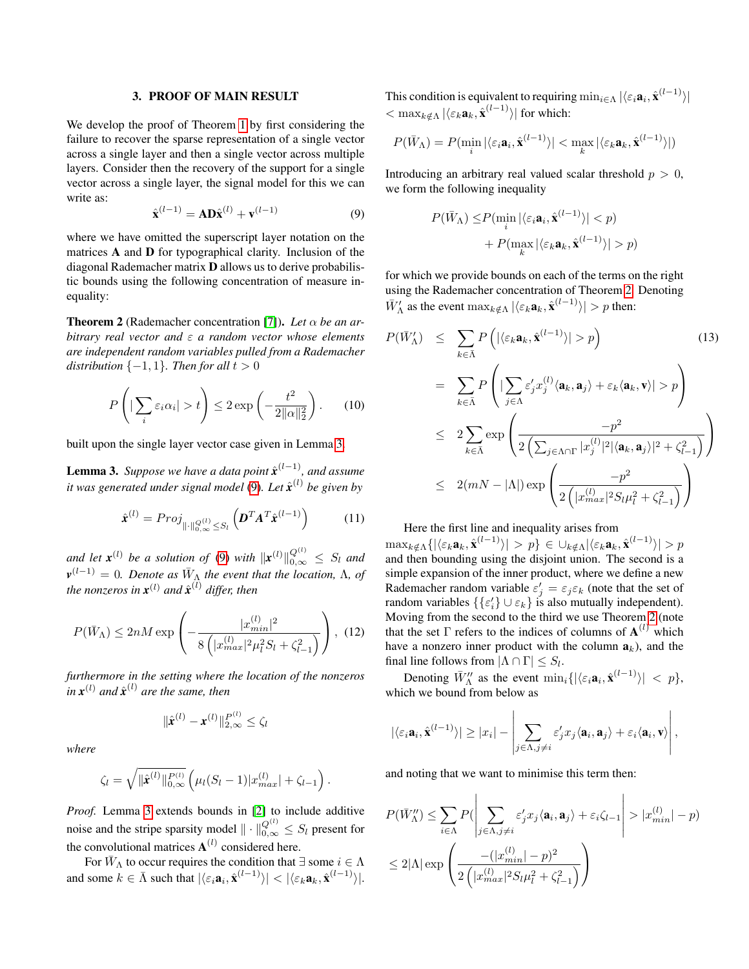#### 3. PROOF OF MAIN RESULT

We develop the proof of Theorem [1](#page-1-3) by first considering the failure to recover the sparse representation of a single vector across a single layer and then a single vector across multiple layers. Consider then the recovery of the support for a single vector across a single layer, the signal model for this we can write as:

<span id="page-2-1"></span>
$$
\hat{\mathbf{x}}^{(l-1)} = \mathbf{A} \mathbf{D} \hat{\mathbf{x}}^{(l)} + \mathbf{v}^{(l-1)} \tag{9}
$$

where we have omitted the superscript layer notation on the matrices A and D for typographical clarity. Inclusion of the diagonal Rademacher matrix D allows us to derive probabilistic bounds using the following concentration of measure inequality:

<span id="page-2-2"></span>**Theorem 2** (Rademacher concentration [\[7\]](#page-4-6)). Let  $\alpha$  be an ar*bitrary real vector and* ε *a random vector whose elements are independent random variables pulled from a Rademacher distribution*  $\{-1, 1\}$ *. Then for all*  $t > 0$ 

$$
P\left(|\sum_{i} \varepsilon_{i} \alpha_{i}| > t\right) \leq 2 \exp\left(-\frac{t^{2}}{2\|\alpha\|_{2}^{2}}\right).
$$
 (10)

built upon the single layer vector case given in Lemma [3.](#page-2-0)

<span id="page-2-0"></span>**Lemma 3.** Suppose we have a data point  $\hat{\textbf{x}}^{(l-1)}$ , and assume it was generated under signal model [\(9\)](#page-2-1). Let  $\hat{\boldsymbol{x}}^{(l)}$  be given by

$$
\hat{\boldsymbol{x}}^{(l)} = Proj_{\|\cdot\|_{0,\infty}^{Q^{(l)}} \leq S_l} \left( \boldsymbol{D}^T \boldsymbol{A}^T \hat{\boldsymbol{x}}^{(l-1)} \right) \tag{11}
$$

*and let*  $\mathbf{x}^{(l)}$  *be a solution of* [\(9\)](#page-2-1) *with*  $\|\mathbf{x}^{(l)}\|_{0,\infty}^{Q^{(l)}} \leq S_l$  *and*  $\mathbf{v}^{(l-1)} = 0$ . Denote as  $\bar{W}_{\Lambda}$  the event that the location,  $\Lambda$ , of the nonzeros in  $x^{(l)}$  and  $\hat{x}^{(l)}$  differ, then

$$
P(\bar{W}_{\Lambda}) \le 2nM \exp\left(-\frac{|x_{min}^{(l)}|^2}{8\left(|x_{max}^{(l)}|^2\mu_l^2 S_l + \zeta_{l-1}^2\right)}\right), (12)
$$

*furthermore in the setting where the location of the nonzeros*  $\int \sin x^{(l)}$  *and*  $\hat{x}^{(l)}$  *are the same, then* 

$$
\|\hat{\bm{x}}^{(l)} - \bm{x}^{(l)}\|_{2,\infty}^{P^{(l)}} \leq \zeta_l
$$

*where*

$$
\zeta_l = \sqrt{\|\hat{\mathbf{x}}^{(l)}\|_{0,\infty}^{P^{(l)}}}\left(\mu_l(S_l-1)|x_{max}^{(l)}|+\zeta_{l-1}\right).
$$

*Proof.* Lemma [3](#page-2-0) extends bounds in [\[2\]](#page-4-1) to include additive noise and the stripe sparsity model  $\|\cdot\|_{0,\infty}^{Q^{(l)}} \leq S_l$  present for the convolutional matrices  $A^{(l)}$  considered here.

For  $\bar{W}_{\Lambda}$  to occur requires the condition that  $\exists$  some  $i \in \Lambda$ and some  $k \in \bar{\Lambda}$  such that  $|\langle \varepsilon_i \mathbf{a}_i, \hat{\mathbf{x}}^{(l-1)} \rangle| < |\langle \varepsilon_k \mathbf{a}_k, \hat{\mathbf{x}}^{(l-1)} \rangle|$ . This condition is equivalent to requiring  $\min_{i \in \Lambda} |\langle \varepsilon_i \mathbf{a}_i, \hat{\mathbf{x}}^{(l-1)} \rangle|$  $< \max_{k \notin \Lambda} |\langle \varepsilon_k \mathbf{a}_k, \hat{\mathbf{x}}^{(l-1)} \rangle|$  for which:

$$
P(\bar{W}_{\Lambda}) = P(\min_{i} |\langle \varepsilon_{i} \mathbf{a}_{i}, \hat{\mathbf{x}}^{(l-1)} \rangle| < \max_{k} |\langle \varepsilon_{k} \mathbf{a}_{k}, \hat{\mathbf{x}}^{(l-1)} \rangle|)
$$

Introducing an arbitrary real valued scalar threshold  $p > 0$ , we form the following inequality

$$
P(\bar{W}_{\Lambda}) \le P(\min_{i} |\langle \varepsilon_{i} \mathbf{a}_{i}, \hat{\mathbf{x}}^{(l-1)} \rangle| < p)
$$

$$
+ P(\max_{k} |\langle \varepsilon_{k} \mathbf{a}_{k}, \hat{\mathbf{x}}^{(l-1)} \rangle| > p)
$$

for which we provide bounds on each of the terms on the right using the Rademacher concentration of Theorem [2.](#page-2-2) Denoting  $\bar{W}'_{\Lambda}$  as the event  $\max_{k \notin \Lambda} |\langle \varepsilon_k \mathbf{a}_k, \hat{\mathbf{x}}^{(l-1)} \rangle| > p$  then:

<span id="page-2-3"></span>
$$
P(\bar{W}_{\Lambda}') \leq \sum_{k \in \bar{\Lambda}} P\left(|\langle \varepsilon_k \mathbf{a}_k, \hat{\mathbf{x}}^{(l-1)} \rangle| > p\right)
$$
(13)  

$$
= \sum_{k \in \bar{\Lambda}} P\left(|\sum_{j \in \Lambda} \varepsilon_j' x_j^{(l)} \langle \mathbf{a}_k, \mathbf{a}_j \rangle + \varepsilon_k \langle \mathbf{a}_k, \mathbf{v} \rangle| > p\right)
$$
  

$$
\leq 2 \sum_{k \in \bar{\Lambda}} \exp\left(\frac{-p^2}{2\left(\sum_{j \in \Lambda \cap \Gamma} |x_j^{(l)}|^2 |\langle \mathbf{a}_k, \mathbf{a}_j \rangle|^2 + \zeta_{l-1}^2\right)}\right)
$$
  

$$
\leq 2(mN - |\Lambda|) \exp\left(\frac{-p^2}{2\left(|x_{max}^{(l)}|^2 S_l \mu_l^2 + \zeta_{l-1}^2\right)}\right)
$$

Here the first line and inequality arises from

 $\max_{k \notin \Lambda} \{|\langle \varepsilon_k \mathbf{a}_k, \hat{\mathbf{x}}^{(l-1)} \rangle| > p\} \in \cup_{k \notin \Lambda} |\langle \varepsilon_k \mathbf{a}_k, \hat{\mathbf{x}}^{(l-1)} \rangle| > p$ and then bounding using the disjoint union. The second is a simple expansion of the inner product, where we define a new Rademacher random variable  $\varepsilon'_j = \varepsilon_j \varepsilon_k$  (note that the set of random variables  $\{\{\varepsilon'_i\} \cup \varepsilon_k\}$  is also mutually independent). Moving from the second to the third we use Theorem [2](#page-2-2) (note that the set  $\Gamma$  refers to the indices of columns of  $A^{(l)}$  which have a nonzero inner product with the column  $a_k$ ), and the final line follows from  $|\Lambda \cap \Gamma| \leq S_l$ .

Denoting  $\bar{W}_{\Lambda}^{\prime\prime}$  as the event  $\min_i \{|\langle \varepsilon_i \mathbf{a}_i, \hat{\mathbf{x}}^{(l-1)} \rangle| < p \},$ which we bound from below as

$$
|\langle \varepsilon_i \mathbf{a}_i, \hat{\mathbf{x}}^{(l-1)} \rangle| \geq |x_i| - \left| \sum_{j \in \Lambda, j \neq i} \varepsilon'_j x_j \langle \mathbf{a}_i, \mathbf{a}_j \rangle + \varepsilon_i \langle \mathbf{a}_i, \mathbf{v} \rangle \right|,
$$

and noting that we want to minimise this term then:

$$
P(\bar{W}_{\Lambda}'') \leq \sum_{i \in \Lambda} P(\left| \sum_{j \in \Lambda, j \neq i} \varepsilon'_{j} x_{j} \langle \mathbf{a}_{i}, \mathbf{a}_{j} \rangle + \varepsilon_{i} \zeta_{l-1} \right| > |x_{min}^{(l)}| - p)
$$
  

$$
\leq 2|\Lambda| \exp\left(\frac{-(|x_{min}^{(l)}| - p)^{2}}{2\left(|x_{max}^{(l)}|^{2} S_{l} \mu_{l}^{2} + \zeta_{l-1}^{2}\right)}\right)
$$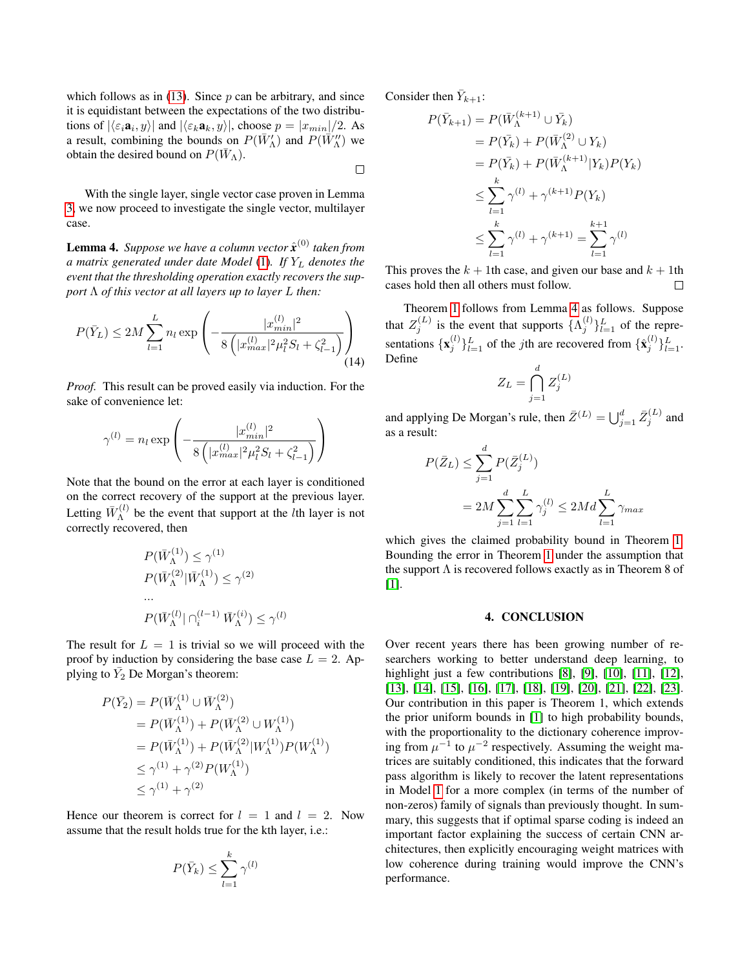which follows as in  $(13)$ . Since p can be arbitrary, and since it is equidistant between the expectations of the two distributions of  $|\langle \varepsilon_i \mathbf{a}_i, y \rangle|$  and  $|\langle \varepsilon_k \mathbf{a}_k, y \rangle|$ , choose  $p = |x_{min}|/2$ . As a result, combining the bounds on  $P(\bar{W}_{\Lambda}^{\prime})$  and  $P(\bar{W}_{\Lambda}^{\prime\prime})$  we obtain the desired bound on  $P(W_\Lambda)$ .

With the single layer, single vector case proven in Lemma [3,](#page-2-0) we now proceed to investigate the single vector, multilayer case.

<span id="page-3-0"></span>Lemma 4. *Suppose we have a column vector* ˆ*x* (0) *taken from a matrix generated under date Model* [\(1\)](#page-0-0)*. If* Y<sup>L</sup> *denotes the event that the thresholding operation exactly recovers the support* Λ *of this vector at all layers up to layer* L *then:*

$$
P(\bar{Y}_L) \le 2M \sum_{l=1}^L n_l \exp\left(-\frac{|x_{min}^{(l)}|^2}{8(|x_{max}^{(l)}|^2 \mu_l^2 S_l + \zeta_{l-1}^2)}\right)
$$
\n(14)

*Proof.* This result can be proved easily via induction. For the sake of convenience let:

$$
\gamma^{(l)} = n_l \exp\left(-\frac{|x_{min}^{(l)}|^2}{8(|x_{max}^{(l)}|^2 \mu_l^2 S_l + \zeta_{l-1}^2)}\right)
$$

Note that the bound on the error at each layer is conditioned on the correct recovery of the support at the previous layer. Letting  $\bar{W}_{\Lambda}^{(l)}$  $\Lambda^{(l)}$  be the event that support at the *l*th layer is not correctly recovered, then

$$
P(\bar{W}_{\Lambda}^{(1)}) \leq \gamma^{(1)}
$$
  
\n
$$
P(\bar{W}_{\Lambda}^{(2)} | \bar{W}_{\Lambda}^{(1)}) \leq \gamma^{(2)}
$$
  
\n...  
\n
$$
P(\bar{W}_{\Lambda}^{(l)} | \cap_i^{(l-1)} \bar{W}_{\Lambda}^{(i)}) \leq \gamma^{(l)}
$$

The result for  $L = 1$  is trivial so we will proceed with the proof by induction by considering the base case  $L = 2$ . Applying to  $\bar{Y}_2$  De Morgan's theorem:

$$
P(\bar{Y}_2) = P(\bar{W}_{\Lambda}^{(1)} \cup \bar{W}_{\Lambda}^{(2)})
$$
  
=  $P(\bar{W}_{\Lambda}^{(1)}) + P(\bar{W}_{\Lambda}^{(2)} \cup W_{\Lambda}^{(1)})$   
=  $P(\bar{W}_{\Lambda}^{(1)}) + P(\bar{W}_{\Lambda}^{(2)} | W_{\Lambda}^{(1)}) P(W_{\Lambda}^{(1)})$   
 $\leq \gamma^{(1)} + \gamma^{(2)} P(W_{\Lambda}^{(1)})$   
 $\leq \gamma^{(1)} + \gamma^{(2)}$ 

Hence our theorem is correct for  $l = 1$  and  $l = 2$ . Now assume that the result holds true for the kth layer, i.e.:

$$
P(\bar{Y}_k) \leq \sum_{l=1}^k \gamma^{(l)}
$$

Consider then  $\bar{Y}_{k+1}$ :

 $\Box$ 

$$
P(\bar{Y}_{k+1}) = P(\bar{W}_{\Lambda}^{(k+1)} \cup \bar{Y}_k)
$$
  
=  $P(\bar{Y}_k) + P(\bar{W}_{\Lambda}^{(2)} \cup Y_k)$   
=  $P(\bar{Y}_k) + P(\bar{W}_{\Lambda}^{(k+1)} | Y_k) P(Y_k)$   
 $\leq \sum_{l=1}^k \gamma^{(l)} + \gamma^{(k+1)} P(Y_k)$   
 $\leq \sum_{l=1}^k \gamma^{(l)} + \gamma^{(k+1)} = \sum_{l=1}^{k+1} \gamma^{(l)}$ 

This proves the  $k + 1$ th case, and given our base and  $k + 1$ th cases hold then all others must follow. П

Theorem [1](#page-1-3) follows from Lemma [4](#page-3-0) as follows. Suppose that  $Z_j^{(L)}$  is the event that supports  $\{\Lambda_j^{(l)}\}_{l=1}^L$  of the representations  $\{x_j^{(l)}\}_{l=1}^L$  of the *j*th are recovered from  $\{\hat{x}_j^{(l)}\}_{l=1}^L$ . Define

$$
Z_L = \bigcap_{j=1}^d Z_j^{(L)}
$$

and applying De Morgan's rule, then  $\bar{Z}^{(L)} = \bigcup_{j=1}^{d} \bar{Z}_{j}^{(L)}$  and as a result:

$$
P(\bar{Z}_L) \le \sum_{j=1}^d P(\bar{Z}_j^{(L)})
$$
  
=  $2M \sum_{j=1}^d \sum_{l=1}^L \gamma_j^{(l)} \le 2Md \sum_{l=1}^L \gamma_{max}$ 

which gives the claimed probability bound in Theorem [1.](#page-1-3) Bounding the error in Theorem [1](#page-1-3) under the assumption that the support  $\Lambda$  is recovered follows exactly as in Theorem 8 of [\[1\]](#page-4-0).

#### 4. CONCLUSION

Over recent years there has been growing number of researchers working to better understand deep learning, to highlight just a few contributions [\[8\]](#page-4-7), [\[9\]](#page-4-8), [\[10\]](#page-4-9), [\[11\]](#page-4-10), [\[12\]](#page-4-11), [\[13\]](#page-4-12), [\[14\]](#page-4-13), [\[15\]](#page-4-14), [\[16\]](#page-4-15), [\[17\]](#page-4-16), [\[18\]](#page-4-17), [\[19\]](#page-4-18), [\[20\]](#page-4-19), [\[21\]](#page-4-20), [\[22\]](#page-4-21), [\[23\]](#page-4-22). Our contribution in this paper is Theorem 1, which extends the prior uniform bounds in [\[1\]](#page-4-0) to high probability bounds, with the proportionality to the dictionary coherence improving from  $\mu^{-1}$  to  $\mu^{-2}$  respectively. Assuming the weight matrices are suitably conditioned, this indicates that the forward pass algorithm is likely to recover the latent representations in Model [1](#page-0-0) for a more complex (in terms of the number of non-zeros) family of signals than previously thought. In summary, this suggests that if optimal sparse coding is indeed an important factor explaining the success of certain CNN architectures, then explicitly encouraging weight matrices with low coherence during training would improve the CNN's performance.